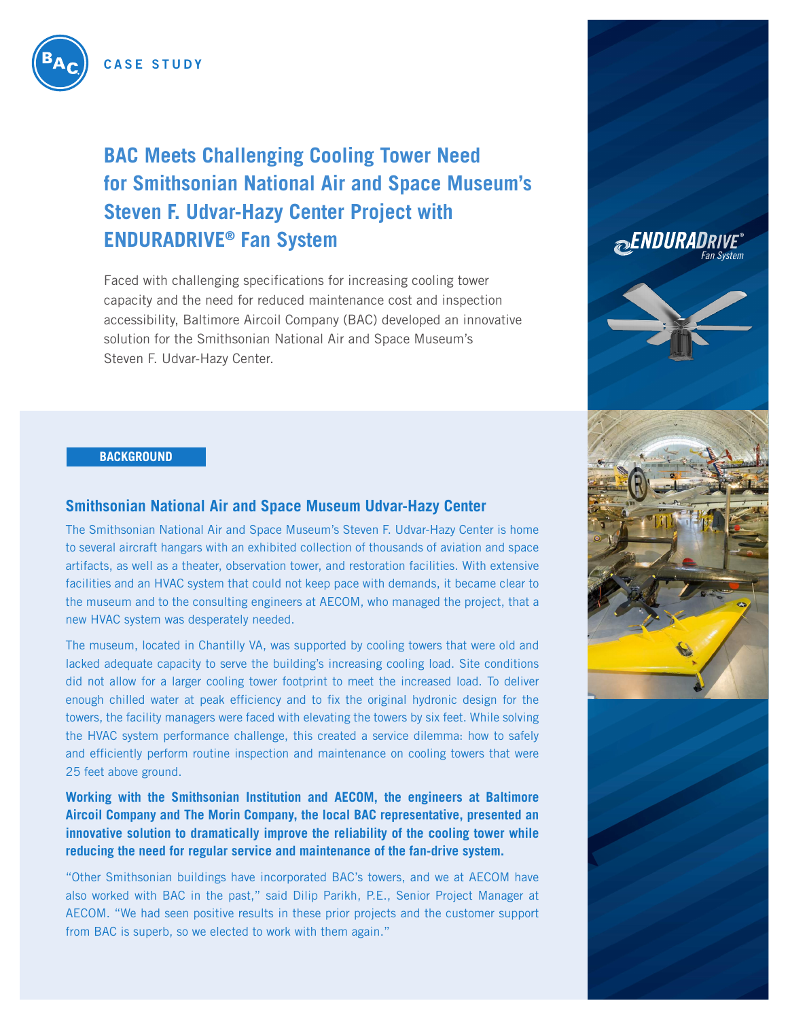

# **BAC Meets Challenging Cooling Tower Need for Smithsonian National Air and Space Museum's Steven F. Udvar-Hazy Center Project with ENDURADRIVE® Fan System**

Faced with challenging specifications for increasing cooling tower capacity and the need for reduced maintenance cost and inspection accessibility, Baltimore Aircoil Company (BAC) developed an innovative solution for the Smithsonian National Air and Space Museum's Steven F. Udvar-Hazy Center.

#### **BACKGROUND**

#### **Smithsonian National Air and Space Museum Udvar-Hazy Center**

The Smithsonian National Air and Space Museum's Steven F. Udvar-Hazy Center is home to several aircraft hangars with an exhibited collection of thousands of aviation and space artifacts, as well as a theater, observation tower, and restoration facilities. With extensive facilities and an HVAC system that could not keep pace with demands, it became clear to the museum and to the consulting engineers at AECOM, who managed the project, that a new HVAC system was desperately needed.

The museum, located in Chantilly VA, was supported by cooling towers that were old and lacked adequate capacity to serve the building's increasing cooling load. Site conditions did not allow for a larger cooling tower footprint to meet the increased load. To deliver enough chilled water at peak efficiency and to fix the original hydronic design for the towers, the facility managers were faced with elevating the towers by six feet. While solving the HVAC system performance challenge, this created a service dilemma: how to safely and efficiently perform routine inspection and maintenance on cooling towers that were 25 feet above ground.

**Working with the Smithsonian Institution and AECOM, the engineers at Baltimore Aircoil Company and The Morin Company, the local BAC representative, presented an innovative solution to dramatically improve the reliability of the cooling tower while reducing the need for regular service and maintenance of the fan-drive system.** 

"Other Smithsonian buildings have incorporated BAC's towers, and we at AECOM have also worked with BAC in the past," said Dilip Parikh, P.E., Senior Project Manager at AECOM. "We had seen positive results in these prior projects and the customer support from BAC is superb, so we elected to work with them again."

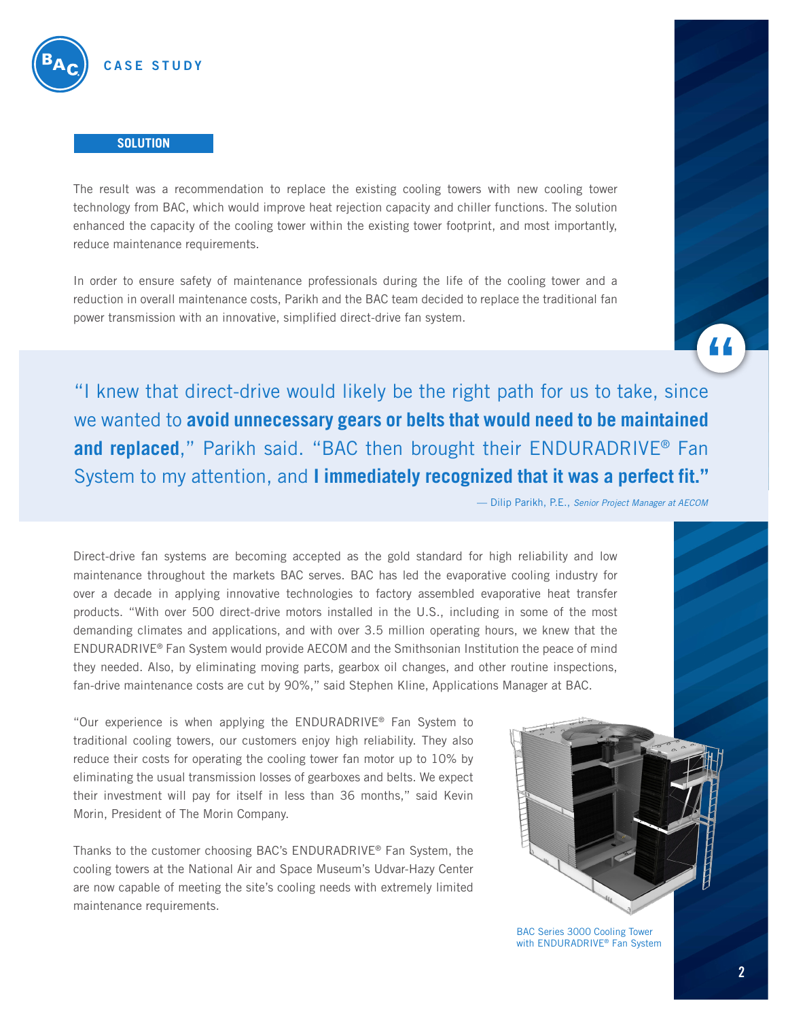

#### **SOLUTION**

The result was a recommendation to replace the existing cooling towers with new cooling tower technology from BAC, which would improve heat rejection capacity and chiller functions. The solution enhanced the capacity of the cooling tower within the existing tower footprint, and most importantly, reduce maintenance requirements.

In order to ensure safety of maintenance professionals during the life of the cooling tower and a reduction in overall maintenance costs, Parikh and the BAC team decided to replace the traditional fan power transmission with an innovative, simplified direct-drive fan system.



"I knew that direct-drive would likely be the right path for us to take, since we wanted to **avoid unnecessary gears or belts that would need to be maintained and replaced**," Parikh said. "BAC then brought their ENDURADRIVE® Fan System to my attention, and **I immediately recognized that it was a perfect fit."**

— Dilip Parikh, P.E., *Senior Project Manager at AECOM*

Direct-drive fan systems are becoming accepted as the gold standard for high reliability and low maintenance throughout the markets BAC serves. BAC has led the evaporative cooling industry for over a decade in applying innovative technologies to factory assembled evaporative heat transfer products. "With over 500 direct-drive motors installed in the U.S., including in some of the most demanding climates and applications, and with over 3.5 million operating hours, we knew that the ENDURADRIVE® Fan System would provide AECOM and the Smithsonian Institution the peace of mind they needed. Also, by eliminating moving parts, gearbox oil changes, and other routine inspections, fan-drive maintenance costs are cut by 90%," said Stephen Kline, Applications Manager at BAC.

"Our experience is when applying the ENDURADRIVE® Fan System to traditional cooling towers, our customers enjoy high reliability. They also reduce their costs for operating the cooling tower fan motor up to 10% by eliminating the usual transmission losses of gearboxes and belts. We expect their investment will pay for itself in less than 36 months," said Kevin Morin, President of The Morin Company.

Thanks to the customer choosing BAC's ENDURADRIVE® Fan System, the cooling towers at the National Air and Space Museum's Udvar-Hazy Center are now capable of meeting the site's cooling needs with extremely limited maintenance requirements.



BAC Series 3000 Cooling Tower with ENDURADRIVE® Fan System